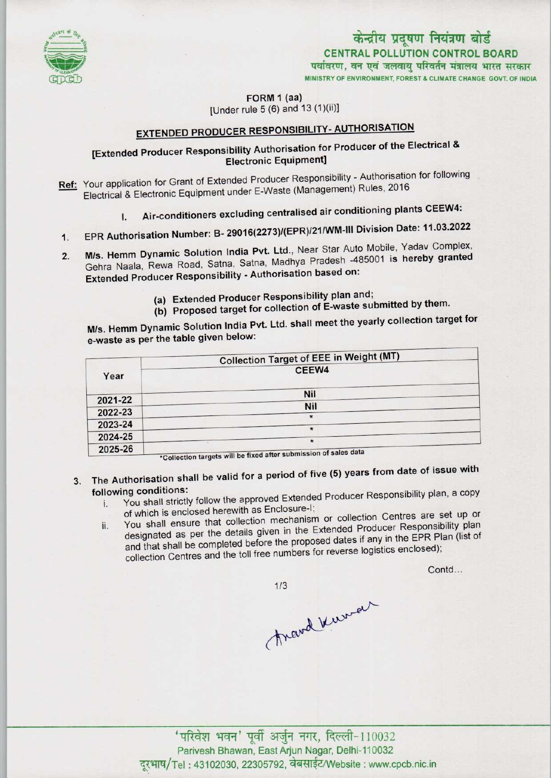

# CENTRAL POLLUTION CONTROL BOARD<br>पर्यावरण, वन एवं जलवायु परिवर्तन मंत्रालय भारत सरकार केन्द्रीय प्रदूषण नियंत्रण बोर्ड

MINISTRY OF ENVIRONMENT, FOREST & CLIMATE CHANGE GOVT, OF INDIA

FORM 1 (aa)

[Under rule 5 (6) and 13 (1)(ii)]

## EXTENDED PRODUCER RESPONSIBILITY- AUTHORISATION

### [Extended Producer Responsibility Authorisation for Producer of the Electrical & Electronic Equipment]

- Ref: Your application for Grant of Extended Producer Responsibility Authorisation for following Electrical & Electronic Equipment under E-Waste (Management) Rules, 2016
	- I. Air-conditioners excluding centralised air conditioning plants CEEW4:
- 1. EPR Authorisation Number: B- 29016(2273)/(EPR)/21/WM-III Division Date: 11.03.2022
- Li IX Additionalisments M/s. Hemm Dynamic Solution India Pvt. Ltd., Near Star Auto Mobile, Tadav Somplox, Gehra Naala, Rewa Road, Satna, Satna, Madhya Pradesh -485001 is hereby granted<br>Extended Producer Responsibility - Authorisation based on:  $2.$ 
	- (a) Extended Producer Responsibility plan and;
	- (b) Proposed target for collection of E-waste submitted by them.

M/s. Hemm Dynamic Solution India Pvt. Ltd. shall meet the yearly collection target for e-waste as per the table given below:

|                    | <b>Collection Target of EEE in Weight (MT)</b>                              |
|--------------------|-----------------------------------------------------------------------------|
| Year               | CEEW4                                                                       |
|                    | Nil                                                                         |
| 2021-22<br>2022-23 | Nil                                                                         |
| 2023-24            | $\star$                                                                     |
| 2024-25            |                                                                             |
| 2025-26            | $\star$<br>*Collection targets will be fixed after submission of sales data |

- 3. The Authorisation shall be valid for a period of five (5) years from date of issue with following conditions:
	- You shall strictly follow the approved Extended Producer Responsibility plan, a copy of which is enclosed herewith as Enclosure-l;
	- ii. You shall ensure that collection mechanism or collection Centres are set up or You shall ensure that collection mechanism or collection behinds are producer producer Responsibility plan designated as per the details given in the Extended Producer Responsibility proand that shall be completed before the proposed dates if any in the EPR Plan (list of collection Centres and the toll free numbers for reverse logistics enclosed);

Contd...

 $1/3$ 

Anand Kurner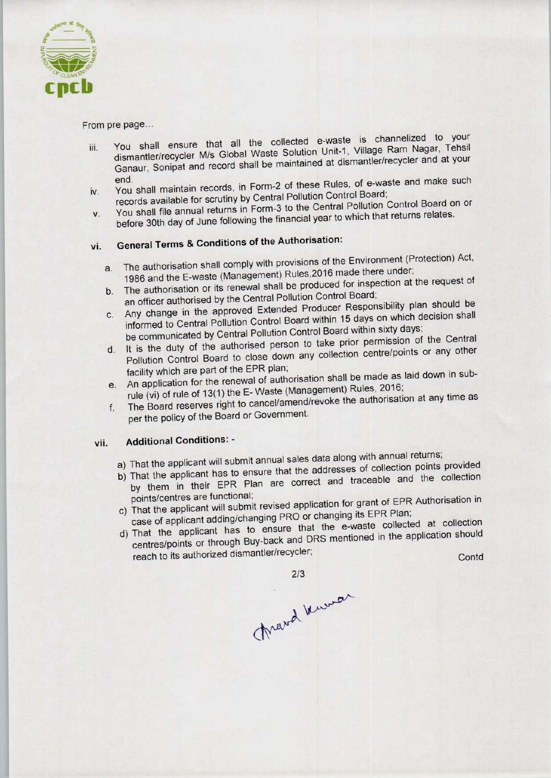

From pre page...

- iii. You shall ensure that all the collected e-waste is channelized to your dismantler/recycler M/s Global Waste Solution Unit-1, Village Ram Nagar, Tehsil Ganaur, Sonipat and record shall be maintained at dismantler/recycler and at your
- iv. You shall maintain records, in Form-2 of these Rules, of e-waste and make such records available for scrutiny by Central Pollution Control Board;
- v. You shall file annual returns in Form-3 to the Central Pollution Control Board on or before 30th day of June following the financial year to which that returns relates.

## vi. General Terms & Conditions of the Authorisation:

- a. The authorisation shall comply with provisions of the Environment (Protection) Act, 1986 and the E-waste (Management) Rules,2016 made there under;
- b. The authorisation or its renewal shall be produced for inspection at the request of an officer authorised by the Central Pollution Control Board;
- c.Any change in the approved Extended Producer Responsibility plan should be informed to Central Pollution Control Board within 15 days on which decision shall be communicated by Central Pollution Control Board within sixty days;
- d. It is the duty of the authorised person to take prior permission of the Central Pollution Control Board to close down any collection centre/points or any other facility which are part of the EPR plan;
- e. An application for the renewal of authorisation shall be made as laid down in subrule (vi) of rule of 13(1) the E- Waste (Management) Rules, 2016;
- f. The Board reserves right to cancel/amend/revoke the authorisation at any time as per the policy of the Board or Government.

#### vii. Additional Conditions: -

- a) That the applicant will submit annual sales data along with annual returns;
- a) That the applicant will submit annual sales data along with almula returns, That the applicant has to ensure that the addresses or collection points provided by them in their EPR Plan are correct and traceable and the collection<br>points/centres are functional;
- c) That the applicant will submit revised application for grant of EPR Authorisation in case of applicant adding/changing PRO or changing its EPR Plan;
- case of applicant adding/changing PRO or changing its EPR Plan.<br>That the e-waste collected at collection That the applicant has to ensure that the e-waste conceded at the application should From the papier of the EPR plan;<br>
in an application for the renewal of authorisation shall be made<br>
in application for the renewal of authorisation shall be made<br>
ile (vi) of rule of 13(1) the E-Waste (Management) Rules, e and the collection<br>of EPR Authorisation in<br>Repart of Plan;<br>the application should<br>Contd

March Kurrar